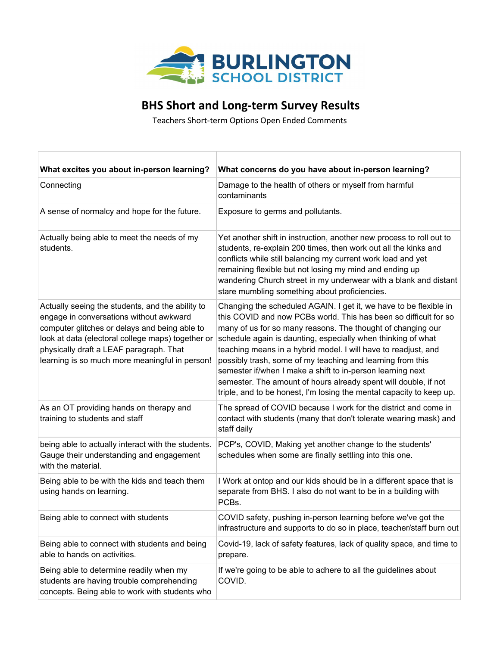

## **BHS Short and Long-term Survey Results**

Teachers Short-term Options Open Ended Comments

| What excites you about in-person learning?                                                                                                                                                                                                                                                     | What concerns do you have about in-person learning?                                                                                                                                                                                                                                                                                                                                                                                                                                                                                                                                                           |
|------------------------------------------------------------------------------------------------------------------------------------------------------------------------------------------------------------------------------------------------------------------------------------------------|---------------------------------------------------------------------------------------------------------------------------------------------------------------------------------------------------------------------------------------------------------------------------------------------------------------------------------------------------------------------------------------------------------------------------------------------------------------------------------------------------------------------------------------------------------------------------------------------------------------|
| Connecting                                                                                                                                                                                                                                                                                     | Damage to the health of others or myself from harmful<br>contaminants                                                                                                                                                                                                                                                                                                                                                                                                                                                                                                                                         |
| A sense of normalcy and hope for the future.                                                                                                                                                                                                                                                   | Exposure to germs and pollutants.                                                                                                                                                                                                                                                                                                                                                                                                                                                                                                                                                                             |
| Actually being able to meet the needs of my<br>students.                                                                                                                                                                                                                                       | Yet another shift in instruction, another new process to roll out to<br>students, re-explain 200 times, then work out all the kinks and<br>conflicts while still balancing my current work load and yet<br>remaining flexible but not losing my mind and ending up<br>wandering Church street in my underwear with a blank and distant<br>stare mumbling something about proficiencies.                                                                                                                                                                                                                       |
| Actually seeing the students, and the ability to<br>engage in conversations without awkward<br>computer glitches or delays and being able to<br>look at data (electoral college maps) together or<br>physically draft a LEAF paragraph. That<br>learning is so much more meaningful in person! | Changing the scheduled AGAIN. I get it, we have to be flexible in<br>this COVID and now PCBs world. This has been so difficult for so<br>many of us for so many reasons. The thought of changing our<br>schedule again is daunting, especially when thinking of what<br>teaching means in a hybrid model. I will have to readjust, and<br>possibly trash, some of my teaching and learning from this<br>semester if/when I make a shift to in-person learning next<br>semester. The amount of hours already spent will double, if not<br>triple, and to be honest, I'm losing the mental capacity to keep up. |
| As an OT providing hands on therapy and<br>training to students and staff                                                                                                                                                                                                                      | The spread of COVID because I work for the district and come in<br>contact with students (many that don't tolerate wearing mask) and<br>staff daily                                                                                                                                                                                                                                                                                                                                                                                                                                                           |
| being able to actually interact with the students.<br>Gauge their understanding and engagement<br>with the material.                                                                                                                                                                           | PCP's, COVID, Making yet another change to the students'<br>schedules when some are finally settling into this one.                                                                                                                                                                                                                                                                                                                                                                                                                                                                                           |
| Being able to be with the kids and teach them<br>using hands on learning.                                                                                                                                                                                                                      | I Work at ontop and our kids should be in a different space that is<br>separate from BHS. I also do not want to be in a building with<br>PCBs.                                                                                                                                                                                                                                                                                                                                                                                                                                                                |
| Being able to connect with students                                                                                                                                                                                                                                                            | COVID safety, pushing in-person learning before we've got the<br>infrastructure and supports to do so in place, teacher/staff burn out                                                                                                                                                                                                                                                                                                                                                                                                                                                                        |
| Being able to connect with students and being<br>able to hands on activities.                                                                                                                                                                                                                  | Covid-19, lack of safety features, lack of quality space, and time to<br>prepare.                                                                                                                                                                                                                                                                                                                                                                                                                                                                                                                             |
| Being able to determine readily when my<br>students are having trouble comprehending<br>concepts. Being able to work with students who                                                                                                                                                         | If we're going to be able to adhere to all the guidelines about<br>COVID.                                                                                                                                                                                                                                                                                                                                                                                                                                                                                                                                     |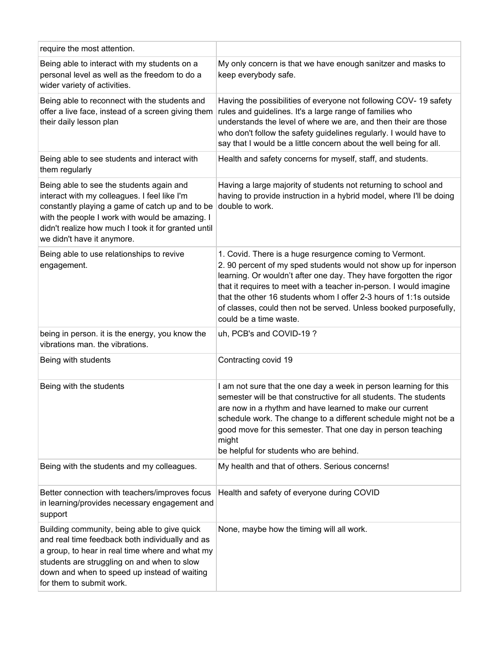| require the most attention.                                                                                                                                                                                                                                                         |                                                                                                                                                                                                                                                                                                                                                                                                                                             |
|-------------------------------------------------------------------------------------------------------------------------------------------------------------------------------------------------------------------------------------------------------------------------------------|---------------------------------------------------------------------------------------------------------------------------------------------------------------------------------------------------------------------------------------------------------------------------------------------------------------------------------------------------------------------------------------------------------------------------------------------|
| Being able to interact with my students on a<br>personal level as well as the freedom to do a<br>wider variety of activities.                                                                                                                                                       | My only concern is that we have enough sanitzer and masks to<br>keep everybody safe.                                                                                                                                                                                                                                                                                                                                                        |
| Being able to reconnect with the students and<br>offer a live face, instead of a screen giving them<br>their daily lesson plan                                                                                                                                                      | Having the possibilities of everyone not following COV-19 safety<br>rules and guidelines. It's a large range of families who<br>understands the level of where we are, and then their are those<br>who don't follow the safety guidelines regularly. I would have to<br>say that I would be a little concern about the well being for all.                                                                                                  |
| Being able to see students and interact with<br>them regularly                                                                                                                                                                                                                      | Health and safety concerns for myself, staff, and students.                                                                                                                                                                                                                                                                                                                                                                                 |
| Being able to see the students again and<br>interact with my colleagues. I feel like I'm<br>constantly playing a game of catch up and to be<br>with the people I work with would be amazing. I<br>didn't realize how much I took it for granted until<br>we didn't have it anymore. | Having a large majority of students not returning to school and<br>having to provide instruction in a hybrid model, where I'll be doing<br>double to work.                                                                                                                                                                                                                                                                                  |
| Being able to use relationships to revive<br>engagement.                                                                                                                                                                                                                            | 1. Covid. There is a huge resurgence coming to Vermont.<br>2. 90 percent of my sped students would not show up for inperson<br>learning. Or wouldn't after one day. They have forgotten the rigor<br>that it requires to meet with a teacher in-person. I would imagine<br>that the other 16 students whom I offer 2-3 hours of 1:1s outside<br>of classes, could then not be served. Unless booked purposefully,<br>could be a time waste. |
| being in person. it is the energy, you know the<br>vibrations man. the vibrations.                                                                                                                                                                                                  | uh, PCB's and COVID-19?                                                                                                                                                                                                                                                                                                                                                                                                                     |
| Being with students                                                                                                                                                                                                                                                                 | Contracting covid 19                                                                                                                                                                                                                                                                                                                                                                                                                        |
| Being with the students                                                                                                                                                                                                                                                             | I am not sure that the one day a week in person learning for this<br>semester will be that constructive for all students. The students<br>are now in a rhythm and have learned to make our current<br>schedule work. The change to a different schedule might not be a<br>good move for this semester. That one day in person teaching<br>might<br>be helpful for students who are behind.                                                  |
| Being with the students and my colleagues.                                                                                                                                                                                                                                          | My health and that of others. Serious concerns!                                                                                                                                                                                                                                                                                                                                                                                             |
| Better connection with teachers/improves focus<br>in learning/provides necessary engagement and<br>support                                                                                                                                                                          | Health and safety of everyone during COVID                                                                                                                                                                                                                                                                                                                                                                                                  |
| Building community, being able to give quick<br>and real time feedback both individually and as<br>a group, to hear in real time where and what my<br>students are struggling on and when to slow<br>down and when to speed up instead of waiting<br>for them to submit work.       | None, maybe how the timing will all work.                                                                                                                                                                                                                                                                                                                                                                                                   |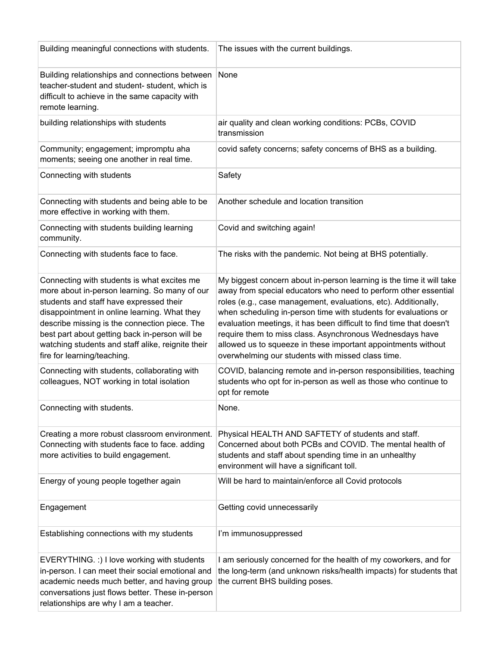| Building meaningful connections with students.                                                                                                                                                                                                                                                                                                                                 | The issues with the current buildings.                                                                                                                                                                                                                                                                                                                                                                                                                                                                                                 |
|--------------------------------------------------------------------------------------------------------------------------------------------------------------------------------------------------------------------------------------------------------------------------------------------------------------------------------------------------------------------------------|----------------------------------------------------------------------------------------------------------------------------------------------------------------------------------------------------------------------------------------------------------------------------------------------------------------------------------------------------------------------------------------------------------------------------------------------------------------------------------------------------------------------------------------|
| Building relationships and connections between<br>teacher-student and student- student, which is<br>difficult to achieve in the same capacity with<br>remote learning.                                                                                                                                                                                                         | None                                                                                                                                                                                                                                                                                                                                                                                                                                                                                                                                   |
| building relationships with students                                                                                                                                                                                                                                                                                                                                           | air quality and clean working conditions: PCBs, COVID<br>transmission                                                                                                                                                                                                                                                                                                                                                                                                                                                                  |
| Community; engagement; impromptu aha<br>moments; seeing one another in real time.                                                                                                                                                                                                                                                                                              | covid safety concerns; safety concerns of BHS as a building.                                                                                                                                                                                                                                                                                                                                                                                                                                                                           |
| Connecting with students                                                                                                                                                                                                                                                                                                                                                       | Safety                                                                                                                                                                                                                                                                                                                                                                                                                                                                                                                                 |
| Connecting with students and being able to be<br>more effective in working with them.                                                                                                                                                                                                                                                                                          | Another schedule and location transition                                                                                                                                                                                                                                                                                                                                                                                                                                                                                               |
| Connecting with students building learning<br>community.                                                                                                                                                                                                                                                                                                                       | Covid and switching again!                                                                                                                                                                                                                                                                                                                                                                                                                                                                                                             |
| Connecting with students face to face.                                                                                                                                                                                                                                                                                                                                         | The risks with the pandemic. Not being at BHS potentially.                                                                                                                                                                                                                                                                                                                                                                                                                                                                             |
| Connecting with students is what excites me<br>more about in-person learning. So many of our<br>students and staff have expressed their<br>disappointment in online learning. What they<br>describe missing is the connection piece. The<br>best part about getting back in-person will be<br>watching students and staff alike, reignite their<br>fire for learning/teaching. | My biggest concern about in-person learning is the time it will take<br>away from special educators who need to perform other essential<br>roles (e.g., case management, evaluations, etc). Additionally,<br>when scheduling in-person time with students for evaluations or<br>evaluation meetings, it has been difficult to find time that doesn't<br>require them to miss class. Asynchronous Wednesdays have<br>allowed us to squeeze in these important appointments without<br>overwhelming our students with missed class time. |
| Connecting with students, collaborating with<br>colleagues, NOT working in total isolation                                                                                                                                                                                                                                                                                     | COVID, balancing remote and in-person responsibilities, teaching<br>students who opt for in-person as well as those who continue to<br>opt for remote                                                                                                                                                                                                                                                                                                                                                                                  |
| Connecting with students.                                                                                                                                                                                                                                                                                                                                                      | None.                                                                                                                                                                                                                                                                                                                                                                                                                                                                                                                                  |
| Creating a more robust classroom environment.<br>Connecting with students face to face. adding<br>more activities to build engagement.                                                                                                                                                                                                                                         | Physical HEALTH AND SAFTETY of students and staff.<br>Concerned about both PCBs and COVID. The mental health of<br>students and staff about spending time in an unhealthy<br>environment will have a significant toll.                                                                                                                                                                                                                                                                                                                 |
| Energy of young people together again                                                                                                                                                                                                                                                                                                                                          | Will be hard to maintain/enforce all Covid protocols                                                                                                                                                                                                                                                                                                                                                                                                                                                                                   |
| Engagement                                                                                                                                                                                                                                                                                                                                                                     | Getting covid unnecessarily                                                                                                                                                                                                                                                                                                                                                                                                                                                                                                            |
| Establishing connections with my students                                                                                                                                                                                                                                                                                                                                      | I'm immunosuppressed                                                                                                                                                                                                                                                                                                                                                                                                                                                                                                                   |
| EVERYTHING. :) I love working with students<br>in-person. I can meet their social emotional and<br>academic needs much better, and having group<br>conversations just flows better. These in-person<br>relationships are why I am a teacher.                                                                                                                                   | I am seriously concerned for the health of my coworkers, and for<br>the long-term (and unknown risks/health impacts) for students that<br>the current BHS building poses.                                                                                                                                                                                                                                                                                                                                                              |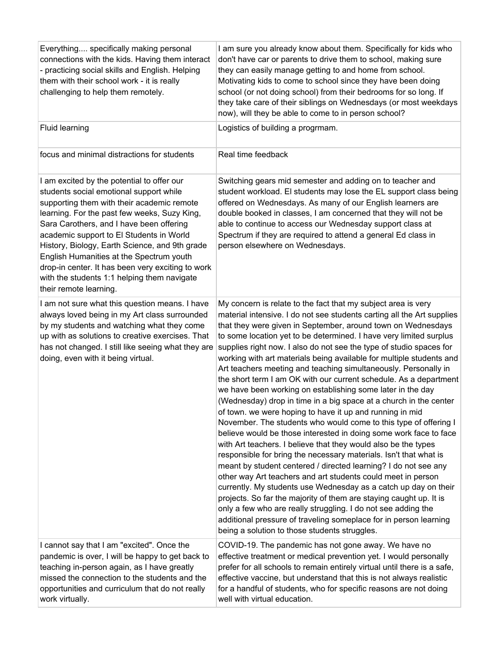| Everything specifically making personal<br>connections with the kids. Having them interact<br>- practicing social skills and English. Helping<br>them with their school work - it is really<br>challenging to help them remotely.                                                                                                                                                                                                                                                                       | I am sure you already know about them. Specifically for kids who<br>don't have car or parents to drive them to school, making sure<br>they can easily manage getting to and home from school.<br>Motivating kids to come to school since they have been doing<br>school (or not doing school) from their bedrooms for so long. If<br>they take care of their siblings on Wednesdays (or most weekdays<br>now), will they be able to come to in person school?                                                                                                                                                                                                                                                                                                                                                                                                                                                                                                                                                                                                                                                                                                                                                                                                                                                                                                                                                                                                                                                          |
|---------------------------------------------------------------------------------------------------------------------------------------------------------------------------------------------------------------------------------------------------------------------------------------------------------------------------------------------------------------------------------------------------------------------------------------------------------------------------------------------------------|------------------------------------------------------------------------------------------------------------------------------------------------------------------------------------------------------------------------------------------------------------------------------------------------------------------------------------------------------------------------------------------------------------------------------------------------------------------------------------------------------------------------------------------------------------------------------------------------------------------------------------------------------------------------------------------------------------------------------------------------------------------------------------------------------------------------------------------------------------------------------------------------------------------------------------------------------------------------------------------------------------------------------------------------------------------------------------------------------------------------------------------------------------------------------------------------------------------------------------------------------------------------------------------------------------------------------------------------------------------------------------------------------------------------------------------------------------------------------------------------------------------------|
| <b>Fluid learning</b>                                                                                                                                                                                                                                                                                                                                                                                                                                                                                   | Logistics of building a progrmam.                                                                                                                                                                                                                                                                                                                                                                                                                                                                                                                                                                                                                                                                                                                                                                                                                                                                                                                                                                                                                                                                                                                                                                                                                                                                                                                                                                                                                                                                                      |
| focus and minimal distractions for students                                                                                                                                                                                                                                                                                                                                                                                                                                                             | Real time feedback                                                                                                                                                                                                                                                                                                                                                                                                                                                                                                                                                                                                                                                                                                                                                                                                                                                                                                                                                                                                                                                                                                                                                                                                                                                                                                                                                                                                                                                                                                     |
| I am excited by the potential to offer our<br>students social emotional support while<br>supporting them with their academic remote<br>learning. For the past few weeks, Suzy King,<br>Sara Carothers, and I have been offering<br>academic support to El Students in World<br>History, Biology, Earth Science, and 9th grade<br>English Humanities at the Spectrum youth<br>drop-in center. It has been very exciting to work<br>with the students 1:1 helping them navigate<br>their remote learning. | Switching gears mid semester and adding on to teacher and<br>student workload. El students may lose the EL support class being<br>offered on Wednesdays. As many of our English learners are<br>double booked in classes, I am concerned that they will not be<br>able to continue to access our Wednesday support class at<br>Spectrum if they are required to attend a general Ed class in<br>person elsewhere on Wednesdays.                                                                                                                                                                                                                                                                                                                                                                                                                                                                                                                                                                                                                                                                                                                                                                                                                                                                                                                                                                                                                                                                                        |
| I am not sure what this question means. I have<br>always loved being in my Art class surrounded<br>by my students and watching what they come<br>up with as solutions to creative exercises. That<br>has not changed. I still like seeing what they are<br>doing, even with it being virtual.                                                                                                                                                                                                           | My concern is relate to the fact that my subject area is very<br>material intensive. I do not see students carting all the Art supplies<br>that they were given in September, around town on Wednesdays<br>to some location yet to be determined. I have very limited surplus<br>supplies right now. I also do not see the type of studio spaces for<br>working with art materials being available for multiple students and<br>Art teachers meeting and teaching simultaneously. Personally in<br>the short term I am OK with our current schedule. As a department<br>we have been working on establishing some later in the day<br>(Wednesday) drop in time in a big space at a church in the center<br>of town. we were hoping to have it up and running in mid<br>November. The students who would come to this type of offering I<br>believe would be those interested in doing some work face to face<br>with Art teachers. I believe that they would also be the types<br>responsible for bring the necessary materials. Isn't that what is<br>meant by student centered / directed learning? I do not see any<br>other way Art teachers and art students could meet in person<br>currently. My students use Wednesday as a catch up day on their<br>projects. So far the majority of them are staying caught up. It is<br>only a few who are really struggling. I do not see adding the<br>additional pressure of traveling someplace for in person learning<br>being a solution to those students struggles. |
| I cannot say that I am "excited". Once the<br>pandemic is over, I will be happy to get back to<br>teaching in-person again, as I have greatly<br>missed the connection to the students and the<br>opportunities and curriculum that do not really<br>work virtually.                                                                                                                                                                                                                                    | COVID-19. The pandemic has not gone away. We have no<br>effective treatment or medical prevention yet. I would personally<br>prefer for all schools to remain entirely virtual until there is a safe,<br>effective vaccine, but understand that this is not always realistic<br>for a handful of students, who for specific reasons are not doing<br>well with virtual education.                                                                                                                                                                                                                                                                                                                                                                                                                                                                                                                                                                                                                                                                                                                                                                                                                                                                                                                                                                                                                                                                                                                                      |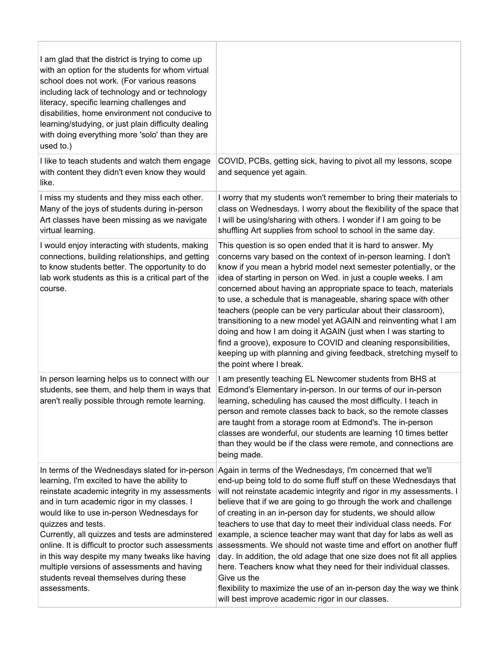| I am glad that the district is trying to come up<br>with an option for the students for whom virtual<br>school does not work. (For various reasons<br>including lack of technology and or technology<br>literacy, specific learning challenges and<br>disabilities, home environment not conducive to<br>learning/studying, or just plain difficulty dealing<br>with doing everything more 'solo' than they are<br>used to.)                                                                                                                |                                                                                                                                                                                                                                                                                                                                                                                                                                                                                                                                                                                                                                                                                                                                                                                                                                                       |
|---------------------------------------------------------------------------------------------------------------------------------------------------------------------------------------------------------------------------------------------------------------------------------------------------------------------------------------------------------------------------------------------------------------------------------------------------------------------------------------------------------------------------------------------|-------------------------------------------------------------------------------------------------------------------------------------------------------------------------------------------------------------------------------------------------------------------------------------------------------------------------------------------------------------------------------------------------------------------------------------------------------------------------------------------------------------------------------------------------------------------------------------------------------------------------------------------------------------------------------------------------------------------------------------------------------------------------------------------------------------------------------------------------------|
| I like to teach students and watch them engage<br>with content they didn't even know they would<br>like.                                                                                                                                                                                                                                                                                                                                                                                                                                    | COVID, PCBs, getting sick, having to pivot all my lessons, scope<br>and sequence yet again.                                                                                                                                                                                                                                                                                                                                                                                                                                                                                                                                                                                                                                                                                                                                                           |
| I miss my students and they miss each other.<br>Many of the joys of students during in-person<br>Art classes have been missing as we navigate<br>virtual learning.                                                                                                                                                                                                                                                                                                                                                                          | I worry that my students won't remember to bring their materials to<br>class on Wednesdays. I worry about the flexibility of the space that<br>I will be using/sharing with others. I wonder if I am going to be<br>shuffling Art supplies from school to school in the same day.                                                                                                                                                                                                                                                                                                                                                                                                                                                                                                                                                                     |
| I would enjoy interacting with students, making<br>connections, building relationships, and getting<br>to know students better. The opportunity to do<br>lab work students as this is a critical part of the<br>course.                                                                                                                                                                                                                                                                                                                     | This question is so open ended that it is hard to answer. My<br>concerns vary based on the context of in-person learning. I don't<br>know if you mean a hybrid model next semester potentially, or the<br>idea of starting in person on Wed. in just a couple weeks. I am<br>concerned about having an appropriate space to teach, materials<br>to use, a schedule that is manageable, sharing space with other<br>teachers (people can be very particular about their classroom),<br>transitioning to a new model yet AGAIN and reinventing what I am<br>doing and how I am doing it AGAIN (just when I was starting to<br>find a groove), exposure to COVID and cleaning responsibilities,<br>keeping up with planning and giving feedback, stretching myself to<br>the point where I break.                                                        |
| In person learning helps us to connect with our<br>students, see them, and help them in ways that<br>aren't really possible through remote learning.                                                                                                                                                                                                                                                                                                                                                                                        | I am presently teaching EL Newcomer students from BHS at<br>Edmond's Elementary in-person. In our terms of our in-person<br>learning, scheduling has caused the most difficulty. I teach in<br>person and remote classes back to back, so the remote classes<br>are taught from a storage room at Edmond's. The in-person<br>classes are wonderful, our students are learning 10 times better<br>than they would be if the class were remote, and connections are<br>being made.                                                                                                                                                                                                                                                                                                                                                                      |
| In terms of the Wednesdays slated for in-person<br>learning, I'm excited to have the ability to<br>reinstate academic integrity in my assessments<br>and in turn academic rigor in my classes. I<br>would like to use in-person Wednesdays for<br>quizzes and tests.<br>Currently, all quizzes and tests are adminstered<br>online. It is difficult to proctor such assessments<br>in this way despite my many tweaks like having<br>multiple versions of assessments and having<br>students reveal themselves during these<br>assessments. | Again in terms of the Wednesdays, I'm concerned that we'll<br>end-up being told to do some fluff stuff on these Wednesdays that<br>will not reinstate academic integrity and rigor in my assessments. I<br>believe that if we are going to go through the work and challenge<br>of creating in an in-person day for students, we should allow<br>teachers to use that day to meet their individual class needs. For<br>example, a science teacher may want that day for labs as well as<br>assessments. We should not waste time and effort on another fluff<br>day. In addition, the old adage that one size does not fit all applies<br>here. Teachers know what they need for their individual classes.<br>Give us the<br>flexibility to maximize the use of an in-person day the way we think<br>will best improve academic rigor in our classes. |

Г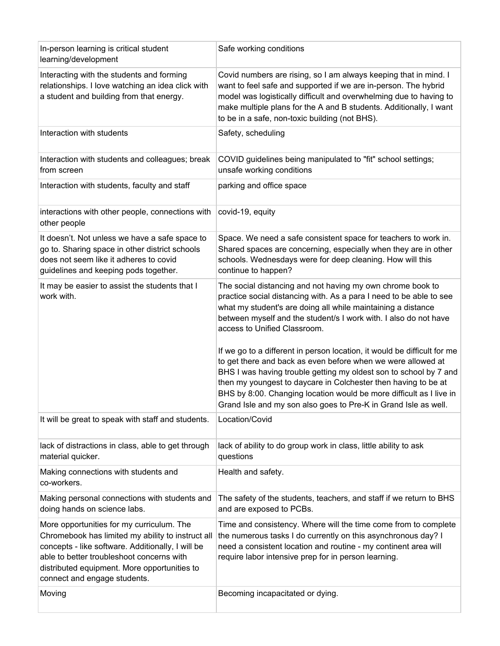| In-person learning is critical student<br>learning/development                                                                                                                                                                                                                   | Safe working conditions                                                                                                                                                                                                                                                                                                                                                                                                                                                                                                                                                                  |
|----------------------------------------------------------------------------------------------------------------------------------------------------------------------------------------------------------------------------------------------------------------------------------|------------------------------------------------------------------------------------------------------------------------------------------------------------------------------------------------------------------------------------------------------------------------------------------------------------------------------------------------------------------------------------------------------------------------------------------------------------------------------------------------------------------------------------------------------------------------------------------|
| Interacting with the students and forming<br>relationships. I love watching an idea click with<br>a student and building from that energy.                                                                                                                                       | Covid numbers are rising, so I am always keeping that in mind. I<br>want to feel safe and supported if we are in-person. The hybrid<br>model was logistically difficult and overwhelming due to having to<br>make multiple plans for the A and B students. Additionally, I want<br>to be in a safe, non-toxic building (not BHS).                                                                                                                                                                                                                                                        |
| Interaction with students                                                                                                                                                                                                                                                        | Safety, scheduling                                                                                                                                                                                                                                                                                                                                                                                                                                                                                                                                                                       |
| Interaction with students and colleagues; break<br>from screen                                                                                                                                                                                                                   | COVID guidelines being manipulated to "fit" school settings;<br>unsafe working conditions                                                                                                                                                                                                                                                                                                                                                                                                                                                                                                |
| Interaction with students, faculty and staff                                                                                                                                                                                                                                     | parking and office space                                                                                                                                                                                                                                                                                                                                                                                                                                                                                                                                                                 |
| interactions with other people, connections with<br>other people                                                                                                                                                                                                                 | covid-19, equity                                                                                                                                                                                                                                                                                                                                                                                                                                                                                                                                                                         |
| It doesn't. Not unless we have a safe space to<br>go to. Sharing space in other district schools<br>does not seem like it adheres to covid<br>guidelines and keeping pods together.                                                                                              | Space. We need a safe consistent space for teachers to work in.<br>Shared spaces are concerning, especially when they are in other<br>schools. Wednesdays were for deep cleaning. How will this<br>continue to happen?                                                                                                                                                                                                                                                                                                                                                                   |
| It may be easier to assist the students that I<br>work with.                                                                                                                                                                                                                     | The social distancing and not having my own chrome book to<br>practice social distancing with. As a para I need to be able to see<br>what my student's are doing all while maintaining a distance<br>between myself and the student/s I work with. I also do not have<br>access to Unified Classroom.<br>If we go to a different in person location, it would be difficult for me<br>to get there and back as even before when we were allowed at<br>BHS I was having trouble getting my oldest son to school by 7 and<br>then my youngest to daycare in Colchester then having to be at |
|                                                                                                                                                                                                                                                                                  | BHS by 8:00. Changing location would be more difficult as I live in<br>Grand Isle and my son also goes to Pre-K in Grand Isle as well.                                                                                                                                                                                                                                                                                                                                                                                                                                                   |
| It will be great to speak with staff and students.                                                                                                                                                                                                                               | Location/Covid                                                                                                                                                                                                                                                                                                                                                                                                                                                                                                                                                                           |
| lack of distractions in class, able to get through<br>material quicker.                                                                                                                                                                                                          | lack of ability to do group work in class, little ability to ask<br>questions                                                                                                                                                                                                                                                                                                                                                                                                                                                                                                            |
| Making connections with students and<br>co-workers.                                                                                                                                                                                                                              | Health and safety.                                                                                                                                                                                                                                                                                                                                                                                                                                                                                                                                                                       |
| Making personal connections with students and<br>doing hands on science labs.                                                                                                                                                                                                    | The safety of the students, teachers, and staff if we return to BHS<br>and are exposed to PCBs.                                                                                                                                                                                                                                                                                                                                                                                                                                                                                          |
| More opportunities for my curriculum. The<br>Chromebook has limited my ability to instruct all<br>concepts - like software. Additionally, I will be<br>able to better troubleshoot concerns with<br>distributed equipment. More opportunities to<br>connect and engage students. | Time and consistency. Where will the time come from to complete<br>the numerous tasks I do currently on this asynchronous day? I<br>need a consistent location and routine - my continent area will<br>require labor intensive prep for in person learning.                                                                                                                                                                                                                                                                                                                              |
| Moving                                                                                                                                                                                                                                                                           | Becoming incapacitated or dying.                                                                                                                                                                                                                                                                                                                                                                                                                                                                                                                                                         |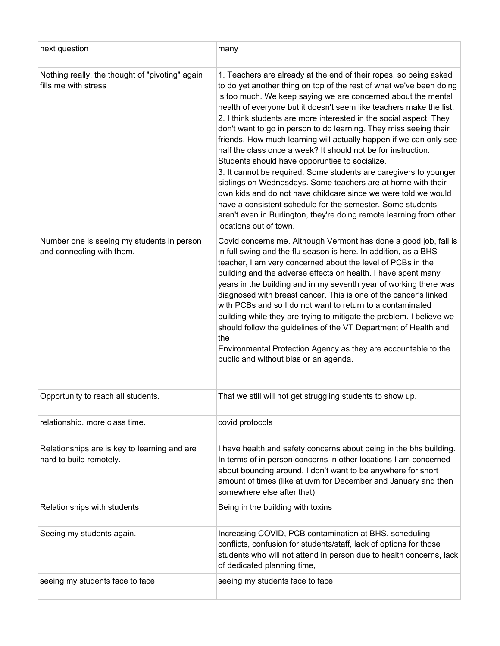| next question                                                           | many                                                                                                                                                                                                                                                                                                                                                                                                                                                                                                                                                                                                                                                                                                                                                                                                                                                                                                                                                                                       |
|-------------------------------------------------------------------------|--------------------------------------------------------------------------------------------------------------------------------------------------------------------------------------------------------------------------------------------------------------------------------------------------------------------------------------------------------------------------------------------------------------------------------------------------------------------------------------------------------------------------------------------------------------------------------------------------------------------------------------------------------------------------------------------------------------------------------------------------------------------------------------------------------------------------------------------------------------------------------------------------------------------------------------------------------------------------------------------|
| Nothing really, the thought of "pivoting" again<br>fills me with stress | 1. Teachers are already at the end of their ropes, so being asked<br>to do yet another thing on top of the rest of what we've been doing<br>is too much. We keep saying we are concerned about the mental<br>health of everyone but it doesn't seem like teachers make the list.<br>2. I think students are more interested in the social aspect. They<br>don't want to go in person to do learning. They miss seeing their<br>friends. How much learning will actually happen if we can only see<br>half the class once a week? It should not be for instruction.<br>Students should have opporunties to socialize.<br>3. It cannot be required. Some students are caregivers to younger<br>siblings on Wednesdays. Some teachers are at home with their<br>own kids and do not have childcare since we were told we would<br>have a consistent schedule for the semester. Some students<br>aren't even in Burlington, they're doing remote learning from other<br>locations out of town. |
| Number one is seeing my students in person<br>and connecting with them. | Covid concerns me. Although Vermont has done a good job, fall is<br>in full swing and the flu season is here. In addition, as a BHS<br>teacher, I am very concerned about the level of PCBs in the<br>building and the adverse effects on health. I have spent many<br>years in the building and in my seventh year of working there was<br>diagnosed with breast cancer. This is one of the cancer's linked<br>with PCBs and so I do not want to return to a contaminated<br>building while they are trying to mitigate the problem. I believe we<br>should follow the guidelines of the VT Department of Health and<br>the<br>Environmental Protection Agency as they are accountable to the<br>public and without bias or an agenda.                                                                                                                                                                                                                                                    |
| Opportunity to reach all students.                                      | That we still will not get struggling students to show up.                                                                                                                                                                                                                                                                                                                                                                                                                                                                                                                                                                                                                                                                                                                                                                                                                                                                                                                                 |
| relationship. more class time.                                          | covid protocols                                                                                                                                                                                                                                                                                                                                                                                                                                                                                                                                                                                                                                                                                                                                                                                                                                                                                                                                                                            |
| Relationships are is key to learning and are<br>hard to build remotely. | I have health and safety concerns about being in the bhs building.<br>In terms of in person concerns in other locations I am concerned<br>about bouncing around. I don't want to be anywhere for short<br>amount of times (like at uvm for December and January and then<br>somewhere else after that)                                                                                                                                                                                                                                                                                                                                                                                                                                                                                                                                                                                                                                                                                     |
| Relationships with students                                             | Being in the building with toxins                                                                                                                                                                                                                                                                                                                                                                                                                                                                                                                                                                                                                                                                                                                                                                                                                                                                                                                                                          |
| Seeing my students again.                                               | Increasing COVID, PCB contamination at BHS, scheduling<br>conflicts, confusion for students/staff, lack of options for those<br>students who will not attend in person due to health concerns, lack<br>of dedicated planning time,                                                                                                                                                                                                                                                                                                                                                                                                                                                                                                                                                                                                                                                                                                                                                         |
| seeing my students face to face                                         | seeing my students face to face                                                                                                                                                                                                                                                                                                                                                                                                                                                                                                                                                                                                                                                                                                                                                                                                                                                                                                                                                            |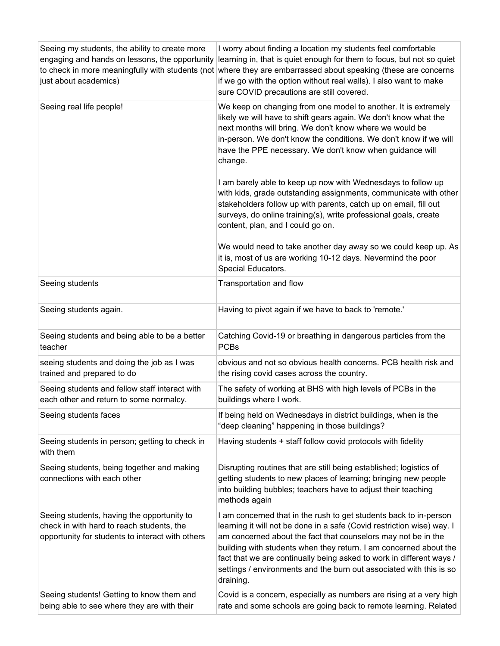| Seeing my students, the ability to create more<br>engaging and hands on lessons, the opportunity<br>just about academics)                   | I worry about finding a location my students feel comfortable<br>learning in, that is quiet enough for them to focus, but not so quiet<br>to check in more meaningfully with students (not where they are embarrassed about speaking (these are concerns<br>if we go with the option without real walls). I also want to make<br>sure COVID precautions are still covered.                                                                    |
|---------------------------------------------------------------------------------------------------------------------------------------------|-----------------------------------------------------------------------------------------------------------------------------------------------------------------------------------------------------------------------------------------------------------------------------------------------------------------------------------------------------------------------------------------------------------------------------------------------|
| Seeing real life people!                                                                                                                    | We keep on changing from one model to another. It is extremely<br>likely we will have to shift gears again. We don't know what the<br>next months will bring. We don't know where we would be<br>in-person. We don't know the conditions. We don't know if we will<br>have the PPE necessary. We don't know when guidance will<br>change.                                                                                                     |
|                                                                                                                                             | I am barely able to keep up now with Wednesdays to follow up<br>with kids, grade outstanding assignments, communicate with other<br>stakeholders follow up with parents, catch up on email, fill out<br>surveys, do online training(s), write professional goals, create<br>content, plan, and I could go on.                                                                                                                                 |
|                                                                                                                                             | We would need to take another day away so we could keep up. As<br>it is, most of us are working 10-12 days. Nevermind the poor<br>Special Educators.                                                                                                                                                                                                                                                                                          |
| Seeing students                                                                                                                             | Transportation and flow                                                                                                                                                                                                                                                                                                                                                                                                                       |
| Seeing students again.                                                                                                                      | Having to pivot again if we have to back to 'remote.'                                                                                                                                                                                                                                                                                                                                                                                         |
| Seeing students and being able to be a better<br>teacher                                                                                    | Catching Covid-19 or breathing in dangerous particles from the<br><b>PCBs</b>                                                                                                                                                                                                                                                                                                                                                                 |
| seeing students and doing the job as I was<br>trained and prepared to do                                                                    | obvious and not so obvious health concerns. PCB health risk and<br>the rising covid cases across the country.                                                                                                                                                                                                                                                                                                                                 |
| Seeing students and fellow staff interact with<br>each other and return to some normalcy.                                                   | The safety of working at BHS with high levels of PCBs in the<br>buildings where I work.                                                                                                                                                                                                                                                                                                                                                       |
| Seeing students faces                                                                                                                       | If being held on Wednesdays in district buildings, when is the<br>"deep cleaning" happening in those buildings?                                                                                                                                                                                                                                                                                                                               |
| Seeing students in person; getting to check in<br>with them                                                                                 | Having students + staff follow covid protocols with fidelity                                                                                                                                                                                                                                                                                                                                                                                  |
| Seeing students, being together and making<br>connections with each other                                                                   | Disrupting routines that are still being established; logistics of<br>getting students to new places of learning; bringing new people<br>into building bubbles; teachers have to adjust their teaching<br>methods again                                                                                                                                                                                                                       |
| Seeing students, having the opportunity to<br>check in with hard to reach students, the<br>opportunity for students to interact with others | I am concerned that in the rush to get students back to in-person<br>learning it will not be done in a safe (Covid restriction wise) way. I<br>am concerned about the fact that counselors may not be in the<br>building with students when they return. I am concerned about the<br>fact that we are continually being asked to work in different ways /<br>settings / environments and the burn out associated with this is so<br>draining. |
| Seeing students! Getting to know them and<br>being able to see where they are with their                                                    | Covid is a concern, especially as numbers are rising at a very high<br>rate and some schools are going back to remote learning. Related                                                                                                                                                                                                                                                                                                       |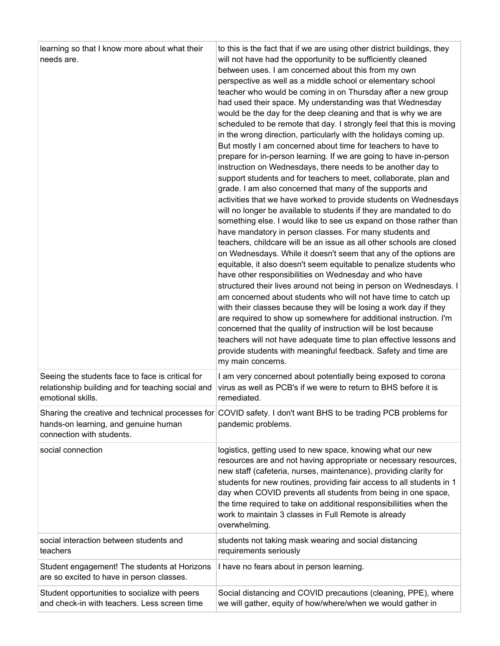| learning so that I know more about what their<br>needs are.                               | to this is the fact that if we are using other district buildings, they<br>will not have had the opportunity to be sufficiently cleaned<br>between uses. I am concerned about this from my own<br>perspective as well as a middle school or elementary school<br>teacher who would be coming in on Thursday after a new group<br>had used their space. My understanding was that Wednesday<br>would be the day for the deep cleaning and that is why we are<br>scheduled to be remote that day. I strongly feel that this is moving<br>in the wrong direction, particularly with the holidays coming up.<br>But mostly I am concerned about time for teachers to have to<br>prepare for in-person learning. If we are going to have in-person<br>instruction on Wednesdays, there needs to be another day to<br>support students and for teachers to meet, collaborate, plan and<br>grade. I am also concerned that many of the supports and<br>activities that we have worked to provide students on Wednesdays<br>will no longer be available to students if they are mandated to do<br>something else. I would like to see us expand on those rather than<br>have mandatory in person classes. For many students and<br>teachers, childcare will be an issue as all other schools are closed<br>on Wednesdays. While it doesn't seem that any of the options are<br>equitable, it also doesn't seem equitable to penalize students who<br>have other responsibilities on Wednesday and who have<br>structured their lives around not being in person on Wednesdays. I<br>am concerned about students who will not have time to catch up<br>with their classes because they will be losing a work day if they<br>are required to show up somewhere for additional instruction. I'm<br>concerned that the quality of instruction will be lost because<br>teachers will not have adequate time to plan effective lessons and<br>provide students with meaningful feedback. Safety and time are<br>my main concerns. |
|-------------------------------------------------------------------------------------------|---------------------------------------------------------------------------------------------------------------------------------------------------------------------------------------------------------------------------------------------------------------------------------------------------------------------------------------------------------------------------------------------------------------------------------------------------------------------------------------------------------------------------------------------------------------------------------------------------------------------------------------------------------------------------------------------------------------------------------------------------------------------------------------------------------------------------------------------------------------------------------------------------------------------------------------------------------------------------------------------------------------------------------------------------------------------------------------------------------------------------------------------------------------------------------------------------------------------------------------------------------------------------------------------------------------------------------------------------------------------------------------------------------------------------------------------------------------------------------------------------------------------------------------------------------------------------------------------------------------------------------------------------------------------------------------------------------------------------------------------------------------------------------------------------------------------------------------------------------------------------------------------------------------------------------------------------------------------------------------------------------------------|
| Seeing the students face to face is critical for                                          | I am very concerned about potentially being exposed to corona                                                                                                                                                                                                                                                                                                                                                                                                                                                                                                                                                                                                                                                                                                                                                                                                                                                                                                                                                                                                                                                                                                                                                                                                                                                                                                                                                                                                                                                                                                                                                                                                                                                                                                                                                                                                                                                                                                                                                       |
| relationship building and for teaching social and                                         | virus as well as PCB's if we were to return to BHS before it is                                                                                                                                                                                                                                                                                                                                                                                                                                                                                                                                                                                                                                                                                                                                                                                                                                                                                                                                                                                                                                                                                                                                                                                                                                                                                                                                                                                                                                                                                                                                                                                                                                                                                                                                                                                                                                                                                                                                                     |
| emotional skills.                                                                         | remediated.                                                                                                                                                                                                                                                                                                                                                                                                                                                                                                                                                                                                                                                                                                                                                                                                                                                                                                                                                                                                                                                                                                                                                                                                                                                                                                                                                                                                                                                                                                                                                                                                                                                                                                                                                                                                                                                                                                                                                                                                         |
| hands-on learning, and genuine human                                                      | Sharing the creative and technical processes for COVID safety. I don't want BHS to be trading PCB problems for                                                                                                                                                                                                                                                                                                                                                                                                                                                                                                                                                                                                                                                                                                                                                                                                                                                                                                                                                                                                                                                                                                                                                                                                                                                                                                                                                                                                                                                                                                                                                                                                                                                                                                                                                                                                                                                                                                      |
| connection with students.                                                                 | pandemic problems.                                                                                                                                                                                                                                                                                                                                                                                                                                                                                                                                                                                                                                                                                                                                                                                                                                                                                                                                                                                                                                                                                                                                                                                                                                                                                                                                                                                                                                                                                                                                                                                                                                                                                                                                                                                                                                                                                                                                                                                                  |
| social connection                                                                         | logistics, getting used to new space, knowing what our new<br>resources are and not having appropriate or necessary resources,<br>new staff (cafeteria, nurses, maintenance), providing clarity for<br>students for new routines, providing fair access to all students in 1<br>day when COVID prevents all students from being in one space,<br>the time required to take on additional responsibiliities when the<br>work to maintain 3 classes in Full Remote is already<br>overwhelming.                                                                                                                                                                                                                                                                                                                                                                                                                                                                                                                                                                                                                                                                                                                                                                                                                                                                                                                                                                                                                                                                                                                                                                                                                                                                                                                                                                                                                                                                                                                        |
| social interaction between students and                                                   | students not taking mask wearing and social distancing                                                                                                                                                                                                                                                                                                                                                                                                                                                                                                                                                                                                                                                                                                                                                                                                                                                                                                                                                                                                                                                                                                                                                                                                                                                                                                                                                                                                                                                                                                                                                                                                                                                                                                                                                                                                                                                                                                                                                              |
| teachers                                                                                  | requirements seriously                                                                                                                                                                                                                                                                                                                                                                                                                                                                                                                                                                                                                                                                                                                                                                                                                                                                                                                                                                                                                                                                                                                                                                                                                                                                                                                                                                                                                                                                                                                                                                                                                                                                                                                                                                                                                                                                                                                                                                                              |
| Student engagement! The students at Horizons<br>are so excited to have in person classes. | I have no fears about in person learning.                                                                                                                                                                                                                                                                                                                                                                                                                                                                                                                                                                                                                                                                                                                                                                                                                                                                                                                                                                                                                                                                                                                                                                                                                                                                                                                                                                                                                                                                                                                                                                                                                                                                                                                                                                                                                                                                                                                                                                           |
| Student opportunities to socialize with peers                                             | Social distancing and COVID precautions (cleaning, PPE), where                                                                                                                                                                                                                                                                                                                                                                                                                                                                                                                                                                                                                                                                                                                                                                                                                                                                                                                                                                                                                                                                                                                                                                                                                                                                                                                                                                                                                                                                                                                                                                                                                                                                                                                                                                                                                                                                                                                                                      |
| and check-in with teachers. Less screen time                                              | we will gather, equity of how/where/when we would gather in                                                                                                                                                                                                                                                                                                                                                                                                                                                                                                                                                                                                                                                                                                                                                                                                                                                                                                                                                                                                                                                                                                                                                                                                                                                                                                                                                                                                                                                                                                                                                                                                                                                                                                                                                                                                                                                                                                                                                         |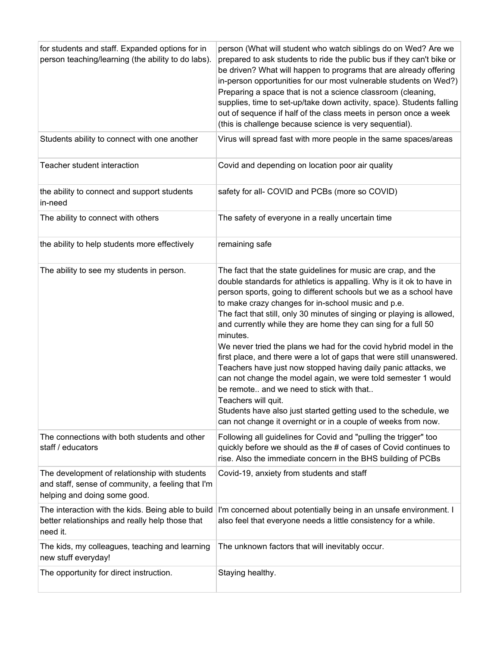| for students and staff. Expanded options for in<br>person teaching/learning (the ability to do labs).                              | person (What will student who watch siblings do on Wed? Are we<br>prepared to ask students to ride the public bus if they can't bike or<br>be driven? What will happen to programs that are already offering<br>in-person opportunities for our most vulnerable students on Wed?)<br>Preparing a space that is not a science classroom (cleaning,<br>supplies, time to set-up/take down activity, space). Students falling<br>out of sequence if half of the class meets in person once a week<br>(this is challenge because science is very sequential).                                                                                                                                                                                                                                                                                                                                                        |
|------------------------------------------------------------------------------------------------------------------------------------|------------------------------------------------------------------------------------------------------------------------------------------------------------------------------------------------------------------------------------------------------------------------------------------------------------------------------------------------------------------------------------------------------------------------------------------------------------------------------------------------------------------------------------------------------------------------------------------------------------------------------------------------------------------------------------------------------------------------------------------------------------------------------------------------------------------------------------------------------------------------------------------------------------------|
| Students ability to connect with one another                                                                                       | Virus will spread fast with more people in the same spaces/areas                                                                                                                                                                                                                                                                                                                                                                                                                                                                                                                                                                                                                                                                                                                                                                                                                                                 |
| Teacher student interaction                                                                                                        | Covid and depending on location poor air quality                                                                                                                                                                                                                                                                                                                                                                                                                                                                                                                                                                                                                                                                                                                                                                                                                                                                 |
| the ability to connect and support students<br>in-need                                                                             | safety for all- COVID and PCBs (more so COVID)                                                                                                                                                                                                                                                                                                                                                                                                                                                                                                                                                                                                                                                                                                                                                                                                                                                                   |
| The ability to connect with others                                                                                                 | The safety of everyone in a really uncertain time                                                                                                                                                                                                                                                                                                                                                                                                                                                                                                                                                                                                                                                                                                                                                                                                                                                                |
| the ability to help students more effectively                                                                                      | remaining safe                                                                                                                                                                                                                                                                                                                                                                                                                                                                                                                                                                                                                                                                                                                                                                                                                                                                                                   |
| The ability to see my students in person.                                                                                          | The fact that the state guidelines for music are crap, and the<br>double standards for athletics is appalling. Why is it ok to have in<br>person sports, going to different schools but we as a school have<br>to make crazy changes for in-school music and p.e.<br>The fact that still, only 30 minutes of singing or playing is allowed,<br>and currently while they are home they can sing for a full 50<br>minutes.<br>We never tried the plans we had for the covid hybrid model in the<br>first place, and there were a lot of gaps that were still unanswered.<br>Teachers have just now stopped having daily panic attacks, we<br>can not change the model again, we were told semester 1 would<br>be remote and we need to stick with that<br>Teachers will quit.<br>Students have also just started getting used to the schedule, we<br>can not change it overnight or in a couple of weeks from now. |
| The connections with both students and other<br>staff / educators                                                                  | Following all guidelines for Covid and "pulling the trigger" too<br>quickly before we should as the # of cases of Covid continues to<br>rise. Also the immediate concern in the BHS building of PCBs                                                                                                                                                                                                                                                                                                                                                                                                                                                                                                                                                                                                                                                                                                             |
| The development of relationship with students<br>and staff, sense of community, a feeling that I'm<br>helping and doing some good. | Covid-19, anxiety from students and staff                                                                                                                                                                                                                                                                                                                                                                                                                                                                                                                                                                                                                                                                                                                                                                                                                                                                        |
| The interaction with the kids. Being able to build<br>better relationships and really help those that<br>need it.                  | I'm concerned about potentially being in an unsafe environment. I<br>also feel that everyone needs a little consistency for a while.                                                                                                                                                                                                                                                                                                                                                                                                                                                                                                                                                                                                                                                                                                                                                                             |
| The kids, my colleagues, teaching and learning<br>new stuff everyday!                                                              | The unknown factors that will inevitably occur.                                                                                                                                                                                                                                                                                                                                                                                                                                                                                                                                                                                                                                                                                                                                                                                                                                                                  |
| The opportunity for direct instruction.                                                                                            | Staying healthy.                                                                                                                                                                                                                                                                                                                                                                                                                                                                                                                                                                                                                                                                                                                                                                                                                                                                                                 |